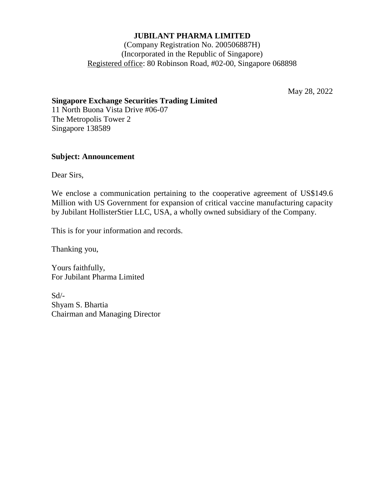# **JUBILANT PHARMA LIMITED**

# (Company Registration No. 200506887H) (Incorporated in the Republic of Singapore) Registered office: 80 Robinson Road, #02-00, Singapore 068898

May 28, 2022

## **Singapore Exchange Securities Trading Limited**

11 North Buona Vista Drive #06-07 The Metropolis Tower 2 Singapore 138589

### **Subject: Announcement**

Dear Sirs,

We enclose a communication pertaining to the cooperative agreement of US\$149.6 Million with US Government for expansion of critical vaccine manufacturing capacity by Jubilant HollisterStier LLC, USA, a wholly owned subsidiary of the Company.

This is for your information and records.

Thanking you,

Yours faithfully, For Jubilant Pharma Limited

Sd/- Shyam S. Bhartia Chairman and Managing Director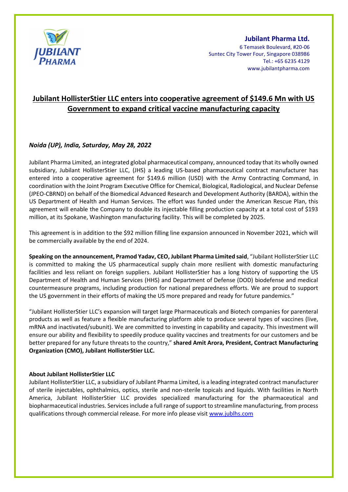

#### **Jubilant Pharma Ltd.**

6 Temasek Boulevard, #20-06 Suntec City Tower Four, Singapore 038986 Tel.: +65 6235 4129 www.jubilantpharma.com

# **Jubilant HollisterStier LLC enters into cooperative agreement of \$149.6 Mn with US Government to expand critical vaccine manufacturing capacity**

## *Noida (UP), India, Saturday, May 28, 2022*

Jubilant Pharma Limited, an integrated global pharmaceutical company, announced today that its wholly owned subsidiary, Jubilant HollisterStier LLC, (JHS) a leading US-based pharmaceutical contract manufacturer has entered into a cooperative agreement for \$149.6 million (USD) with the Army Contracting Command, in coordination with the Joint Program Executive Office for Chemical, Biological, Radiological, and Nuclear Defense (JPEO-CBRND) on behalf of the Biomedical Advanced Research and Development Authority (BARDA), within the US Department of Health and Human Services. The effort was funded under the American Rescue Plan, this agreement will enable the Company to double its injectable filling production capacity at a total cost of \$193 million, at its Spokane, Washington manufacturing facility. This will be completed by 2025.

This agreement is in addition to the \$92 million filling line expansion announced in November 2021, which will be commercially available by the end of 2024.

**Speaking on the announcement, Pramod Yadav, CEO, Jubilant Pharma Limited said**, "Jubilant HollisterStier LLC is committed to making the US pharmaceutical supply chain more resilient with domestic manufacturing facilities and less reliant on foreign suppliers. Jubilant HollisterStier has a long history of supporting the US Department of Health and Human Services (HHS) and Department of Defense (DOD) biodefense and medical countermeasure programs, including production for national preparedness efforts. We are proud to support the US government in their efforts of making the US more prepared and ready for future pandemics."

"Jubilant HollisterStier LLC's expansion will target large Pharmaceuticals and Biotech companies for parenteral products as well as feature a flexible manufacturing platform able to produce several types of vaccines (live, mRNA and inactivated/subunit). We are committed to investing in capability and capacity. This investment will ensure our ability and flexibility to speedily produce quality vaccines and treatments for our customers and be better prepared for any future threats to the country," **shared Amit Arora, President, Contract Manufacturing Organization (CMO), Jubilant HollisterStier LLC.** 

### **About Jubilant HollisterStier LLC**

Jubilant HollisterStier LLC, a subsidiary of Jubilant Pharma Limited, is a leading integrated contract manufacturer of sterile injectables, ophthalmics, optics, sterile and non-sterile topicals and liquids. With facilities in North America, Jubilant HollisterStier LLC provides specialized manufacturing for the pharmaceutical and biopharmaceutical industries. Services include a full range of support to streamline manufacturing, from process qualifications through commercial release. For more info please visit www.jublhs.com